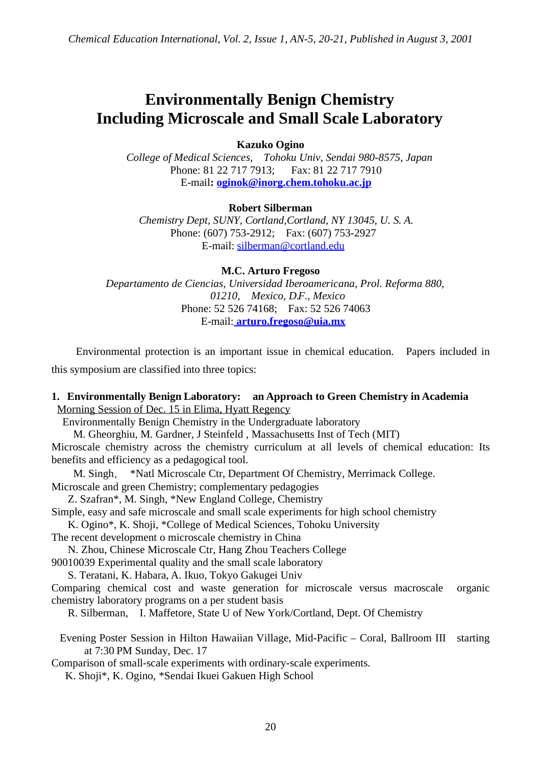## **Environmentally Benign Chemistry Including Microscale and Small Scale Laboratory**

**Kazuko Ogino**

*College of Medical Sciences, Tohoku Univ, Sendai 980-8575, Japan* Phone: 81 22 717 7913; Fax: 81 22 717 7910 E-mail**: oginok@inorg.chem.tohoku.ac.jp**

**Robert Silberman**

*Chemistry Dept, SUNY, Cortland,Cortland, NY 13045, U. S. A.* Phone: (607) 753-2912; Fax: (607) 753-2927 E-mail: silberman@cortland.edu

**M.C. Arturo Fregoso**

*Departamento de Ciencias, Universidad Iberoamericana, Prol. Reforma 880, 01210, Mexico, D.F., Mexico* Phone: 52 526 74168; Fax: 52 526 74063 E-mail: **arturo.fregoso@uia.mx**

Environmental protection is an important issue in chemical education. Papers included in this symposium are classified into three topics:

## **1. Environmentally Benign Laboratory: an Approach to Green Chemistry in Academia** Morning Session of Dec. 15 in Elima, Hyatt Regency

Environmentally Benign Chemistry in the Undergraduate laboratory

 M. Gheorghiu, M. Gardner, J Steinfeld , Massachusetts Inst of Tech (MIT) Microscale chemistry across the chemistry curriculum at all levels of chemical education: Its benefits and efficiency as a pedagogical tool.

M. Singh, \*Natl Microscale Ctr, Department Of Chemistry, Merrimack College.

Microscale and green Chemistry; complementary pedagogies

Z. Szafran\*, M. Singh, \*New England College, Chemistry

Simple, easy and safe microscale and small scale experiments for high school chemistry

K. Ogino\*, K. Shoji, \*College of Medical Sciences, Tohoku University

The recent development o microscale chemistry in China

N. Zhou, Chinese Microscale Ctr, Hang Zhou Teachers College

90010039 Experimental quality and the small scale laboratory

S. Teratani, K. Habara, A. Ikuo, Tokyo Gakugei Univ

Comparing chemical cost and waste generation for microscale versus macroscale organic chemistry laboratory programs on a per student basis

R. Silberman, I. Maffetore, State U of New York/Cortland, Dept. Of Chemistry

Evening Poster Session in Hilton Hawaiian Village, Mid-Pacific – Coral, Ballroom III starting at 7:30 PM Sunday, Dec. 17

Comparison of small-scale experiments with ordinary-scale experiments.

K. Shoji\*, K. Ogino, \*Sendai Ikuei Gakuen High School